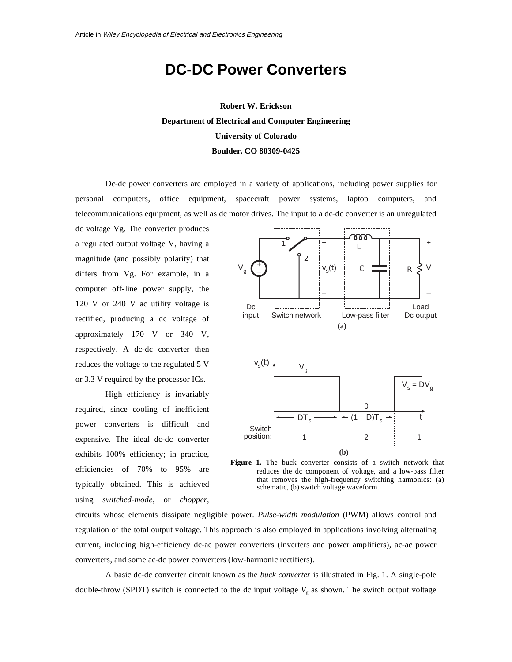# **DC-DC Power Converters**

**Robert W. Erickson Department of Electrical and Computer Engineering University of Colorado Boulder, CO 80309-0425** 

Dc-dc power converters are employed in a variety of applications, including power supplies for personal computers, office equipment, spacecraft power systems, laptop computers, and telecommunications equipment, as well as dc motor drives. The input to a dc-dc converter is an unregulated

dc voltage Vg. The converter produces a regulated output voltage V, having a magnitude (and possibly polarity) that differs from Vg. For example, in a computer off-line power supply, the 120 V or 240 V ac utility voltage is rectified, producing a dc voltage of approximately 170 V or 340 V, respectively. A dc-dc converter then reduces the voltage to the regulated 5 V or 3.3 V required by the processor ICs.

High efficiency is invariably required, since cooling of inefficient power converters is difficult and expensive. The ideal dc-dc converter exhibits 100% efficiency; in practice, efficiencies of 70% to 95% are typically obtained. This is achieved using *switched-mode*, or *chopper*,



**Figure 1.** The buck converter consists of a switch network that reduces the dc component of voltage, and a low-pass filter that removes the high-frequency switching harmonics: (a) schematic, (b) switch voltage waveform.

circuits whose elements dissipate negligible power. *Pulse-width modulation* (PWM) allows control and regulation of the total output voltage. This approach is also employed in applications involving alternating current, including high-efficiency dc-ac power converters (inverters and power amplifiers), ac-ac power converters, and some ac-dc power converters (low-harmonic rectifiers).

A basic dc-dc converter circuit known as the *buck converter* is illustrated in Fig. 1. A single-pole double-throw (SPDT) switch is connected to the dc input voltage  $V_g$  as shown. The switch output voltage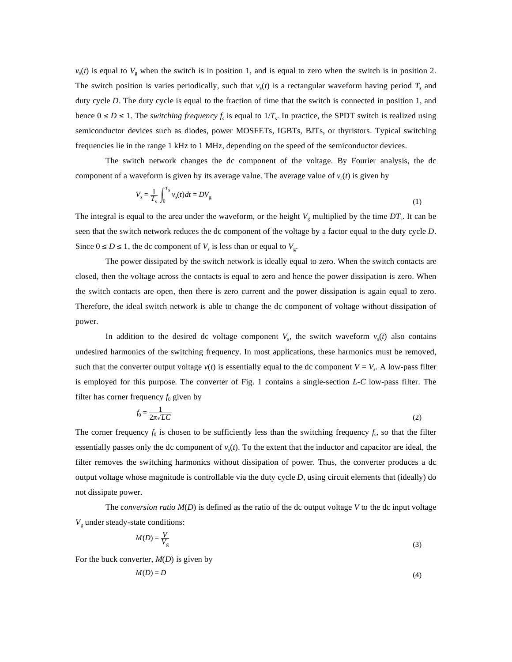$v<sub>s</sub>(t)$  is equal to  $V<sub>g</sub>$  when the switch is in position 1, and is equal to zero when the switch is in position 2. The switch position is varies periodically, such that  $v<sub>s</sub>(t)$  is a rectangular waveform having period  $T<sub>s</sub>$  and duty cycle *D*. The duty cycle is equal to the fraction of time that the switch is connected in position 1, and hence  $0 \le D \le 1$ . The *switching frequency*  $f_s$  is equal to  $1/T_s$ . In practice, the SPDT switch is realized using semiconductor devices such as diodes, power MOSFETs, IGBTs, BJTs, or thyristors. Typical switching frequencies lie in the range 1 kHz to 1 MHz, depending on the speed of the semiconductor devices.

The switch network changes the dc component of the voltage. By Fourier analysis, the dc component of a waveform is given by its average value. The average value of  $v<sub>s</sub>(t)$  is given by

$$
V_s = \frac{1}{T_s} \int_0^{T_s} v_s(t)dt = DV_g
$$
 (1)

The integral is equal to the area under the waveform, or the height  $V_g$  multiplied by the time  $DT_s$ . It can be seen that the switch network reduces the dc component of the voltage by a factor equal to the duty cycle *D*. Since  $0 \le D \le 1$ , the dc component of  $V_s$  is less than or equal to  $V_s$ .

The power dissipated by the switch network is ideally equal to zero. When the switch contacts are closed, then the voltage across the contacts is equal to zero and hence the power dissipation is zero. When the switch contacts are open, then there is zero current and the power dissipation is again equal to zero. Therefore, the ideal switch network is able to change the dc component of voltage without dissipation of power.

In addition to the desired dc voltage component  $V_s$ , the switch waveform  $v_s(t)$  also contains undesired harmonics of the switching frequency. In most applications, these harmonics must be removed, such that the converter output voltage  $v(t)$  is essentially equal to the dc component  $V = V_s$ . A low-pass filter is employed for this purpose. The converter of Fig. 1 contains a single-section *L-C* low-pass filter. The filter has corner frequency  $f_0$  given by

$$
f_0 = \frac{1}{2\pi\sqrt{LC}}\tag{2}
$$

The corner frequency  $f_0$  is chosen to be sufficiently less than the switching frequency  $f_s$ , so that the filter essentially passes only the dc component of  $v<sub>s</sub>(t)$ . To the extent that the inductor and capacitor are ideal, the filter removes the switching harmonics without dissipation of power. Thus, the converter produces a dc output voltage whose magnitude is controllable via the duty cycle *D*, using circuit elements that (ideally) do not dissipate power.

The *conversion ratio M*(*D*) is defined as the ratio of the dc output voltage *V* to the dc input voltage  $V_{\rm g}$  under steady-state conditions:

$$
M(D) = \frac{V}{V_g} \tag{3}
$$

For the buck converter, *M*(*D*) is given by

$$
M(D) = D \tag{4}
$$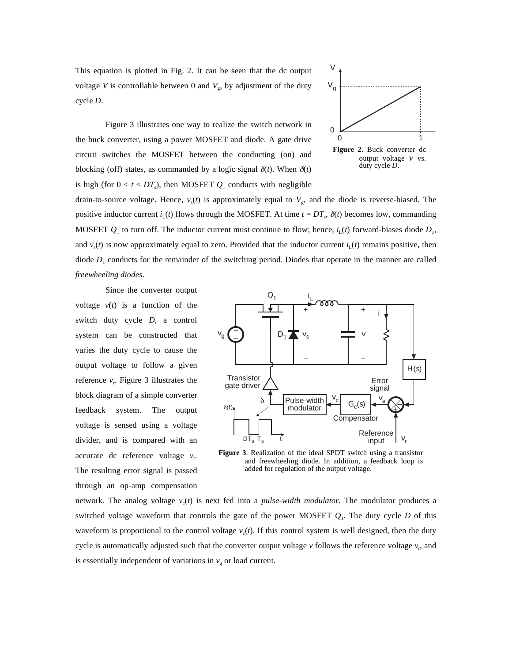This equation is plotted in Fig. 2. It can be seen that the dc output voltage *V* is controllable between 0 and  $V_g$ , by adjustment of the duty cycle *D*.



Figure 3 illustrates one way to realize the switch network in the buck converter, using a power MOSFET and diode. A gate drive circuit switches the MOSFET between the conducting (on) and blocking (off) states, as commanded by a logic signal  $\delta(t)$ . When  $\delta(t)$ is high (for  $0 < t < DT_s$ ), then MOSFET  $Q_1$  conducts with negligible

drain-to-source voltage. Hence,  $v_s(t)$  is approximately equal to  $V_g$ , and the diode is reverse-biased. The positive inductor current  $i_L(t)$  flows through the MOSFET. At time  $t = DT_s$ ,  $\delta(t)$  becomes low, commanding MOSFET  $Q_1$  to turn off. The inductor current must continue to flow; hence,  $i_L(t)$  forward-biases diode  $D_1$ , and  $v<sub>s</sub>(t)$  is now approximately equal to zero. Provided that the inductor current  $i<sub>1</sub>(t)$  remains positive, then diode  $D_1$  conducts for the remainder of the switching period. Diodes that operate in the manner are called *freewheeling diodes*.

Since the converter output voltage  $v(t)$  is a function of the switch duty cycle *D*, a control system can be constructed that varies the duty cycle to cause the output voltage to follow a given reference  $v_r$ . Figure 3 illustrates the block diagram of a simple converter feedback system. The output voltage is sensed using a voltage divider, and is compared with an accurate dc reference voltage  $v_r$ . The resulting error signal is passed through an op-amp compensation



**Figure 3**. Realization of the ideal SPDT switch using a transistor and freewheeling diode. In addition, a feedback loop is added for regulation of the output voltage.

network. The analog voltage  $v_c(t)$  is next fed into a *pulse-width modulator*. The modulator produces a switched voltage waveform that controls the gate of the power MOSFET  $Q_1$ . The duty cycle *D* of this waveform is proportional to the control voltage  $v_c(t)$ . If this control system is well designed, then the duty cycle is automatically adjusted such that the converter output voltage  $\nu$  follows the reference voltage  $\nu_r$ , and is essentially independent of variations in  $v_{\rm g}$  or load current.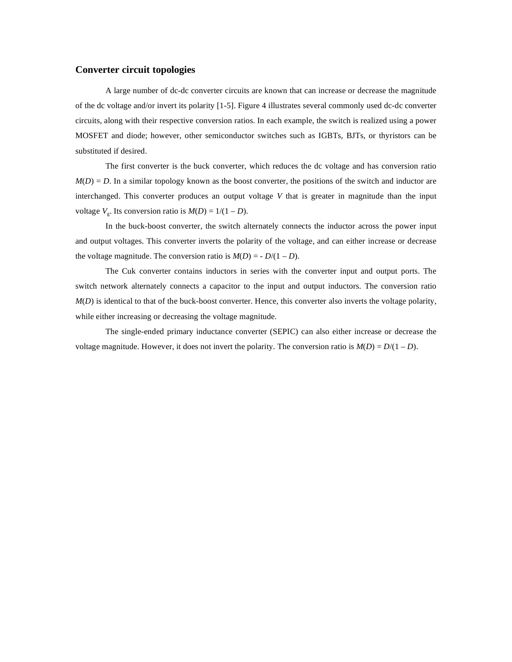# **Converter circuit topologies**

A large number of dc-dc converter circuits are known that can increase or decrease the magnitude of the dc voltage and/or invert its polarity [1-5]. Figure 4 illustrates several commonly used dc-dc converter circuits, along with their respective conversion ratios. In each example, the switch is realized using a power MOSFET and diode; however, other semiconductor switches such as IGBTs, BJTs, or thyristors can be substituted if desired.

The first converter is the buck converter, which reduces the dc voltage and has conversion ratio  $M(D) = D$ . In a similar topology known as the boost converter, the positions of the switch and inductor are interchanged. This converter produces an output voltage *V* that is greater in magnitude than the input voltage  $V_g$ . Its conversion ratio is  $M(D) = 1/(1 - D)$ .

In the buck-boost converter, the switch alternately connects the inductor across the power input and output voltages. This converter inverts the polarity of the voltage, and can either increase or decrease the voltage magnitude. The conversion ratio is  $M(D) = -D/(1 - D)$ .

The Cuk converter contains inductors in series with the converter input and output ports. The switch network alternately connects a capacitor to the input and output inductors. The conversion ratio *M*(*D*) is identical to that of the buck-boost converter. Hence, this converter also inverts the voltage polarity, while either increasing or decreasing the voltage magnitude.

The single-ended primary inductance converter (SEPIC) can also either increase or decrease the voltage magnitude. However, it does not invert the polarity. The conversion ratio is  $M(D) = D/(1 - D)$ .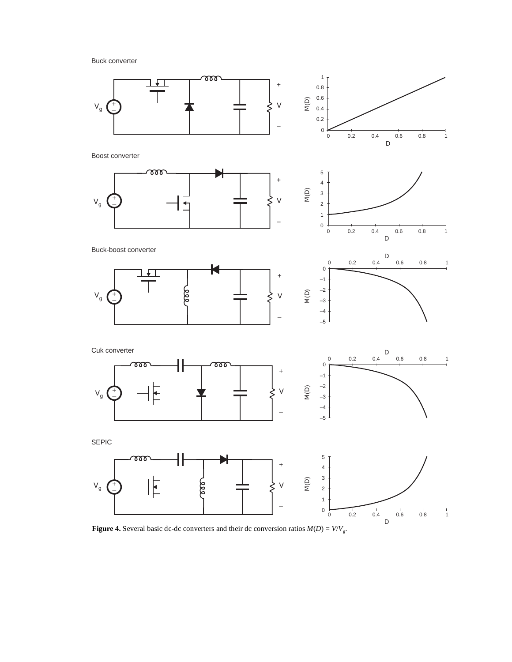Buck converter



**Figure 4.** Several basic dc-dc converters and their dc conversion ratios  $M(D) = V/V_g$ .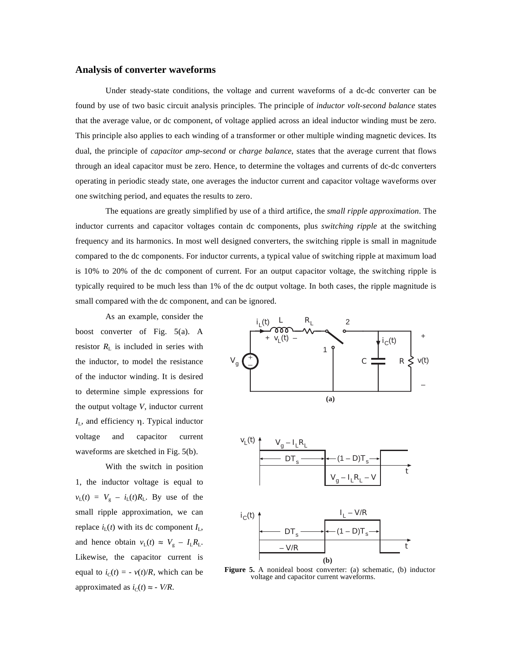## **Analysis of converter waveforms**

Under steady-state conditions, the voltage and current waveforms of a dc-dc converter can be found by use of two basic circuit analysis principles. The principle of *inductor volt-second balance* states that the average value, or dc component, of voltage applied across an ideal inductor winding must be zero. This principle also applies to each winding of a transformer or other multiple winding magnetic devices. Its dual, the principle of *capacitor amp-second* or *charge balance*, states that the average current that flows through an ideal capacitor must be zero. Hence, to determine the voltages and currents of dc-dc converters operating in periodic steady state, one averages the inductor current and capacitor voltage waveforms over one switching period, and equates the results to zero.

The equations are greatly simplified by use of a third artifice, the *small ripple approximation*. The inductor currents and capacitor voltages contain dc components, plus *switching ripple* at the switching frequency and its harmonics. In most well designed converters, the switching ripple is small in magnitude compared to the dc components. For inductor currents, a typical value of switching ripple at maximum load is 10% to 20% of the dc component of current. For an output capacitor voltage, the switching ripple is typically required to be much less than 1% of the dc output voltage. In both cases, the ripple magnitude is small compared with the dc component, and can be ignored.

As an example, consider the boost converter of Fig. 5(a). A resistor  $R_{\rm L}$  is included in series with the inductor, to model the resistance of the inductor winding. It is desired to determine simple expressions for the output voltage *V*, inductor current  $I_L$ , and efficiency  $\eta$ . Typical inductor voltage and capacitor current waveforms are sketched in Fig. 5(b).

With the switch in position 1, the inductor voltage is equal to  $v_L(t) = V_g - i_L(t)R_L$ . By use of the small ripple approximation, we can replace  $i_{\text{L}}(t)$  with its dc component  $I_{\text{L}}$ , and hence obtain  $v_L(t) \approx V_g - I_L R_L$ . Likewise, the capacitor current is equal to  $i_C(t) = -v(t)/R$ , which can be approximated as  $i_C(t) \approx -V/R$ .





**Figure 5.** A nonideal boost converter: (a) schematic, (b) inductor voltage and capacitor current waveforms.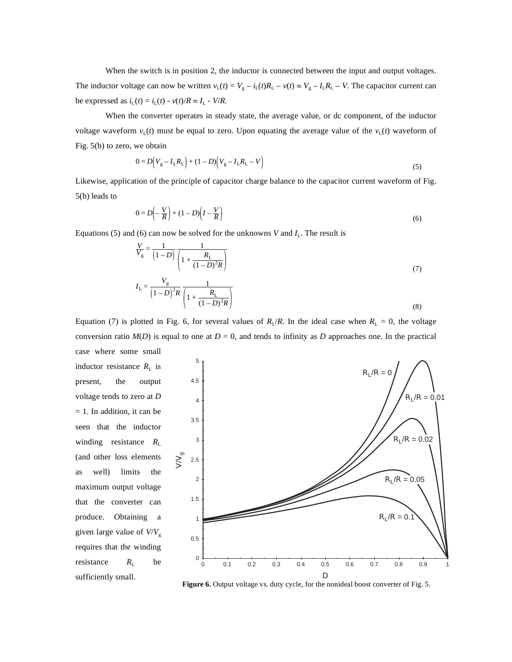When the switch is in position 2, the inductor is connected between the input and output voltages. The inductor voltage can now be written  $v_L(t) = V_g - i_L(t)R_L - v(t) \approx V_g - I_LR_L - V$ . The capacitor current can be expressed as  $i_C(t) = i_L(t) - v(t)/R \approx I_L - V/R$ .

When the converter operates in steady state, the average value, or dc component, of the inductor voltage waveform  $v_L(t)$  must be equal to zero. Upon equating the average value of the  $v_L(t)$  waveform of Fig. 5(b) to zero, we obtain

$$
0 = D(V_g - I_L R_L) + (1 - D)(V_g - I_L R_L - V)
$$
\n(5)

Likewise, application of the principle of capacitor charge balance to the capacitor current waveform of Fig. 5(b) leads to

$$
0 = D\left(-\frac{V}{R}\right) + (1 - D)\left(I - \frac{V}{R}\right) \tag{6}
$$

Equations (5) and (6) can now be solved for the unknowns *V* and  $I_L$ . The result is

$$
\frac{V}{V_g} = \frac{1}{(1 - D)} \frac{1}{\left(1 + \frac{R_L}{(1 - D)^2 R}\right)}
$$
(7)  

$$
I_L = \frac{V_g}{(1 - D)^2 R} \frac{1}{\left(1 + \frac{R_L}{(1 - D)^2 R}\right)}
$$
(8)

Equation (7) is plotted in Fig. 6, for several values of  $R_L/R$ . In the ideal case when  $R_L = 0$ , the voltage conversion ratio  $M(D)$  is equal to one at  $D = 0$ , and tends to infinity as *D* approaches one. In the practical case where some small

inductor resistance  $R_{\rm L}$  is present, the output voltage tends to zero at *D* = 1. In addition, it can be seen that the inductor winding resistance *R*<sup>L</sup> (and other loss elements as well) limits the maximum output voltage that the converter can produce. Obtaining a given large value of *V*/*V*<sup>g</sup> requires that the winding resistance  $R_{\text{L}}$  be



Figure 6. Output voltage vs. duty cycle, for the nonideal boost converter of Fig. 5.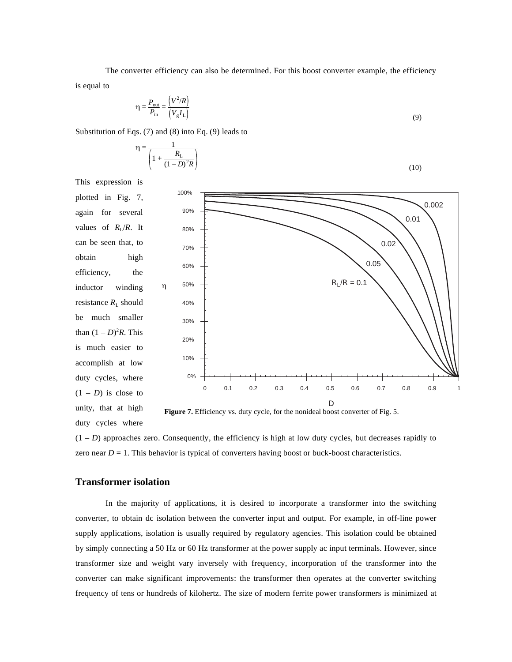The converter efficiency can also be determined. For this boost converter example, the efficiency is equal to

$$
\eta = \frac{P_{\text{out}}}{P_{\text{in}}} = \frac{(V^2/R)}{(V_g I_L)}\tag{9}
$$

Substitution of Eqs. (7) and (8) into Eq. (9) leads to

$$
\eta = \frac{1}{\left(1 + \frac{R_{\rm L}}{(1 - D)^2 R}\right)}
$$
(10)

This expression is



 $(1 – D)$  approaches zero. Consequently, the efficiency is high at low duty cycles, but decreases rapidly to zero near  $D = 1$ . This behavior is typical of converters having boost or buck-boost characteristics.

# **Transformer isolation**

duty cycles where

In the majority of applications, it is desired to incorporate a transformer into the switching converter, to obtain dc isolation between the converter input and output. For example, in off-line power supply applications, isolation is usually required by regulatory agencies. This isolation could be obtained by simply connecting a 50 Hz or 60 Hz transformer at the power supply ac input terminals. However, since transformer size and weight vary inversely with frequency, incorporation of the transformer into the converter can make significant improvements: the transformer then operates at the converter switching frequency of tens or hundreds of kilohertz. The size of modern ferrite power transformers is minimized at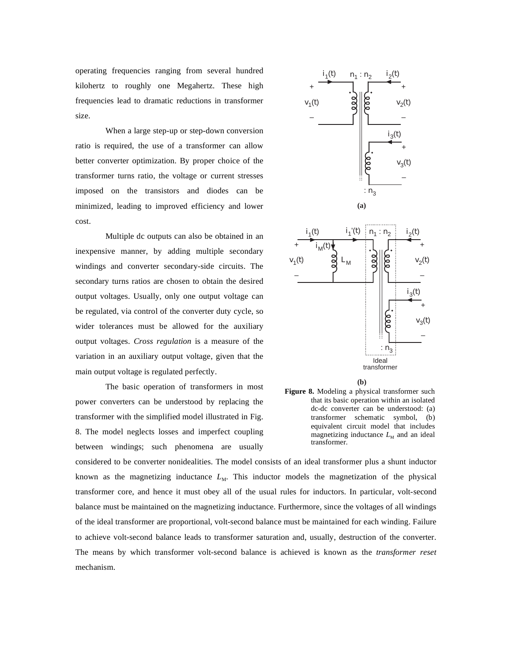operating frequencies ranging from several hundred kilohertz to roughly one Megahertz. These high frequencies lead to dramatic reductions in transformer size.

When a large step-up or step-down conversion ratio is required, the use of a transformer can allow better converter optimization. By proper choice of the transformer turns ratio, the voltage or current stresses imposed on the transistors and diodes can be minimized, leading to improved efficiency and lower cost.

Multiple dc outputs can also be obtained in an inexpensive manner, by adding multiple secondary windings and converter secondary-side circuits. The secondary turns ratios are chosen to obtain the desired output voltages. Usually, only one output voltage can be regulated, via control of the converter duty cycle, so wider tolerances must be allowed for the auxiliary output voltages. *Cross regulation* is a measure of the variation in an auxiliary output voltage, given that the main output voltage is regulated perfectly.

The basic operation of transformers in most power converters can be understood by replacing the transformer with the simplified model illustrated in Fig. 8. The model neglects losses and imperfect coupling between windings; such phenomena are usually









considered to be converter nonidealities. The model consists of an ideal transformer plus a shunt inductor known as the magnetizing inductance  $L<sub>M</sub>$ . This inductor models the magnetization of the physical transformer core, and hence it must obey all of the usual rules for inductors. In particular, volt-second balance must be maintained on the magnetizing inductance. Furthermore, since the voltages of all windings of the ideal transformer are proportional, volt-second balance must be maintained for each winding. Failure to achieve volt-second balance leads to transformer saturation and, usually, destruction of the converter. The means by which transformer volt-second balance is achieved is known as the *transformer reset* mechanism.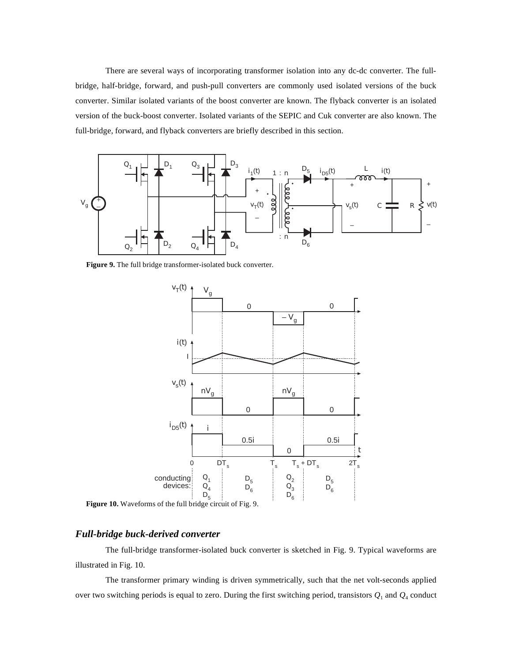There are several ways of incorporating transformer isolation into any dc-dc converter. The fullbridge, half-bridge, forward, and push-pull converters are commonly used isolated versions of the buck converter. Similar isolated variants of the boost converter are known. The flyback converter is an isolated version of the buck-boost converter. Isolated variants of the SEPIC and Cuk converter are also known. The full-bridge, forward, and flyback converters are briefly described in this section.



**Figure 9.** The full bridge transformer-isolated buck converter.



**Figure 10.** Waveforms of the full bridge circuit of Fig. 9.

# *Full-bridge buck-derived converter*

The full-bridge transformer-isolated buck converter is sketched in Fig. 9. Typical waveforms are illustrated in Fig. 10.

The transformer primary winding is driven symmetrically, such that the net volt-seconds applied over two switching periods is equal to zero. During the first switching period, transistors *Q*1 and *Q*4 conduct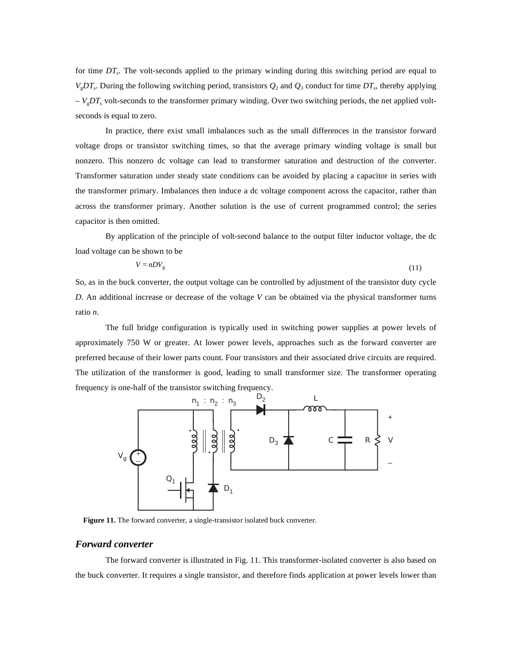for time *DT*<sub>s</sub>. The volt-seconds applied to the primary winding during this switching period are equal to  $V_gDT_s$ . During the following switching period, transistors  $Q_2$  and  $Q_3$  conduct for time  $DT_s$ , thereby applying  $-V<sub>g</sub>DT<sub>s</sub>$  volt-seconds to the transformer primary winding. Over two switching periods, the net applied voltseconds is equal to zero.

In practice, there exist small imbalances such as the small differences in the transistor forward voltage drops or transistor switching times, so that the average primary winding voltage is small but nonzero. This nonzero dc voltage can lead to transformer saturation and destruction of the converter. Transformer saturation under steady state conditions can be avoided by placing a capacitor in series with the transformer primary. Imbalances then induce a dc voltage component across the capacitor, rather than across the transformer primary. Another solution is the use of current programmed control; the series capacitor is then omitted.

By application of the principle of volt-second balance to the output filter inductor voltage, the dc load voltage can be shown to be

$$
V = nDV_{g} \tag{11}
$$

So, as in the buck converter, the output voltage can be controlled by adjustment of the transistor duty cycle *D*. An additional increase or decrease of the voltage *V* can be obtained via the physical transformer turns ratio *n*.

The full bridge configuration is typically used in switching power supplies at power levels of approximately 750 W or greater. At lower power levels, approaches such as the forward converter are preferred because of their lower parts count. Four transistors and their associated drive circuits are required. The utilization of the transformer is good, leading to small transformer size. The transformer operating frequency is one-half of the transistor switching frequency.



**Figure 11.** The forward converter, a single-transistor isolated buck converter.

## *Forward converter*

The forward converter is illustrated in Fig. 11. This transformer-isolated converter is also based on the buck converter. It requires a single transistor, and therefore finds application at power levels lower than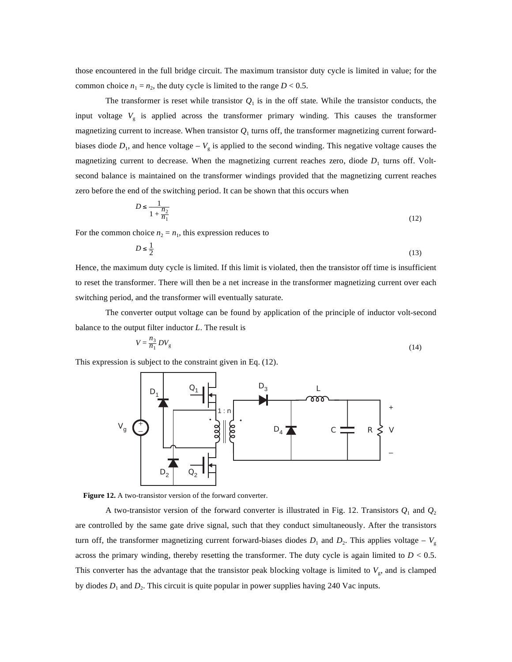those encountered in the full bridge circuit. The maximum transistor duty cycle is limited in value; for the common choice  $n_1 = n_2$ , the duty cycle is limited to the range  $D < 0.5$ .

The transformer is reset while transistor  $Q_1$  is in the off state. While the transistor conducts, the input voltage  $V<sub>g</sub>$  is applied across the transformer primary winding. This causes the transformer magnetizing current to increase. When transistor  $Q_1$  turns off, the transformer magnetizing current forwardbiases diode  $D_1$ , and hence voltage –  $V_g$  is applied to the second winding. This negative voltage causes the magnetizing current to decrease. When the magnetizing current reaches zero, diode  $D_1$  turns off. Voltsecond balance is maintained on the transformer windings provided that the magnetizing current reaches zero before the end of the switching period. It can be shown that this occurs when

$$
D \le \frac{1}{1 + \frac{n_2}{n_1}}\tag{12}
$$

For the common choice  $n_2 = n_1$ , this expression reduces to

$$
D \le \frac{1}{2} \tag{13}
$$

Hence, the maximum duty cycle is limited. If this limit is violated, then the transistor off time is insufficient to reset the transformer. There will then be a net increase in the transformer magnetizing current over each switching period, and the transformer will eventually saturate.

The converter output voltage can be found by application of the principle of inductor volt-second balance to the output filter inductor *L*. The result is

$$
V = \frac{n_3}{n_1}DV_g \tag{14}
$$

This expression is subject to the constraint given in Eq. (12).





A two-transistor version of the forward converter is illustrated in Fig. 12. Transistors  $Q_1$  and  $Q_2$ are controlled by the same gate drive signal, such that they conduct simultaneously. After the transistors turn off, the transformer magnetizing current forward-biases diodes  $D_1$  and  $D_2$ . This applies voltage –  $V_g$ across the primary winding, thereby resetting the transformer. The duty cycle is again limited to  $D < 0.5$ . This converter has the advantage that the transistor peak blocking voltage is limited to  $V_g$ , and is clamped by diodes  $D_1$  and  $D_2$ . This circuit is quite popular in power supplies having 240 Vac inputs.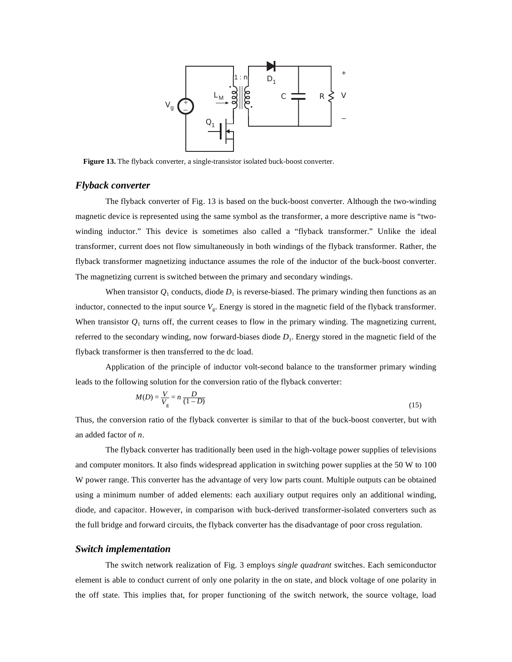

**Figure 13.** The flyback converter, a single-transistor isolated buck-boost converter.

## *Flyback converter*

The flyback converter of Fig. 13 is based on the buck-boost converter. Although the two-winding magnetic device is represented using the same symbol as the transformer, a more descriptive name is "twowinding inductor." This device is sometimes also called a "flyback transformer." Unlike the ideal transformer, current does not flow simultaneously in both windings of the flyback transformer. Rather, the flyback transformer magnetizing inductance assumes the role of the inductor of the buck-boost converter. The magnetizing current is switched between the primary and secondary windings.

When transistor  $Q_1$  conducts, diode  $D_1$  is reverse-biased. The primary winding then functions as an inductor, connected to the input source  $V_g$ . Energy is stored in the magnetic field of the flyback transformer. When transistor  $Q_1$  turns off, the current ceases to flow in the primary winding. The magnetizing current, referred to the secondary winding, now forward-biases diode  $D_1$ . Energy stored in the magnetic field of the flyback transformer is then transferred to the dc load.

Application of the principle of inductor volt-second balance to the transformer primary winding leads to the following solution for the conversion ratio of the flyback converter:

$$
M(D) = \frac{V}{V_g} = n \frac{D}{(1 - D)}
$$
\n(15)

Thus, the conversion ratio of the flyback converter is similar to that of the buck-boost converter, but with an added factor of *n*.

The flyback converter has traditionally been used in the high-voltage power supplies of televisions and computer monitors. It also finds widespread application in switching power supplies at the 50 W to 100 W power range. This converter has the advantage of very low parts count. Multiple outputs can be obtained using a minimum number of added elements: each auxiliary output requires only an additional winding, diode, and capacitor. However, in comparison with buck-derived transformer-isolated converters such as the full bridge and forward circuits, the flyback converter has the disadvantage of poor cross regulation.

#### *Switch implementation*

The switch network realization of Fig. 3 employs *single quadrant* switches. Each semiconductor element is able to conduct current of only one polarity in the on state, and block voltage of one polarity in the off state. This implies that, for proper functioning of the switch network, the source voltage, load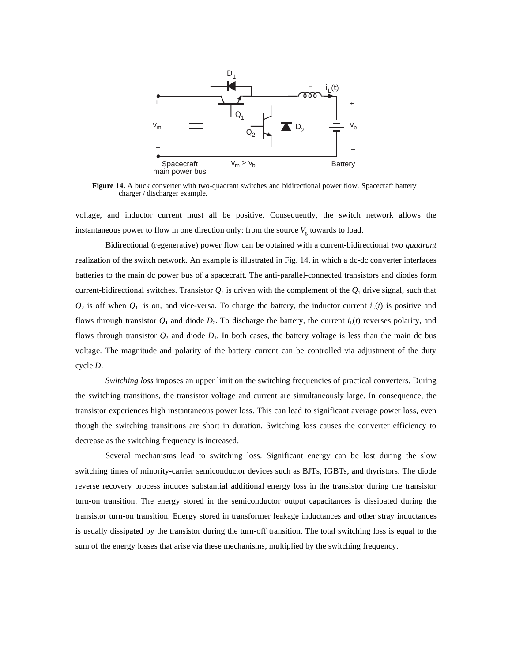

**Figure 14.** A buck converter with two-quadrant switches and bidirectional power flow. Spacecraft battery charger / discharger example.

voltage, and inductor current must all be positive. Consequently, the switch network allows the instantaneous power to flow in one direction only: from the source  $V<sub>g</sub>$  towards to load.

Bidirectional (regenerative) power flow can be obtained with a current-bidirectional *two quadrant* realization of the switch network. An example is illustrated in Fig. 14, in which a dc-dc converter interfaces batteries to the main dc power bus of a spacecraft. The anti-parallel-connected transistors and diodes form current-bidirectional switches. Transistor  $Q_2$  is driven with the complement of the  $Q_1$  drive signal, such that  $Q_2$  is off when  $Q_1$  is on, and vice-versa. To charge the battery, the inductor current  $i_L(t)$  is positive and flows through transistor  $Q_1$  and diode  $D_2$ . To discharge the battery, the current  $i_L(t)$  reverses polarity, and flows through transistor  $Q_2$  and diode  $D_1$ . In both cases, the battery voltage is less than the main dc bus voltage. The magnitude and polarity of the battery current can be controlled via adjustment of the duty cycle *D*.

*Switching loss* imposes an upper limit on the switching frequencies of practical converters. During the switching transitions, the transistor voltage and current are simultaneously large. In consequence, the transistor experiences high instantaneous power loss. This can lead to significant average power loss, even though the switching transitions are short in duration. Switching loss causes the converter efficiency to decrease as the switching frequency is increased.

Several mechanisms lead to switching loss. Significant energy can be lost during the slow switching times of minority-carrier semiconductor devices such as BJTs, IGBTs, and thyristors. The diode reverse recovery process induces substantial additional energy loss in the transistor during the transistor turn-on transition. The energy stored in the semiconductor output capacitances is dissipated during the transistor turn-on transition. Energy stored in transformer leakage inductances and other stray inductances is usually dissipated by the transistor during the turn-off transition. The total switching loss is equal to the sum of the energy losses that arise via these mechanisms, multiplied by the switching frequency.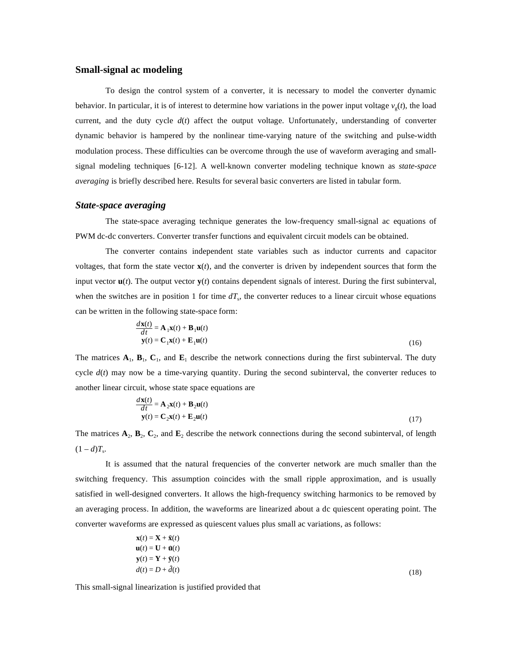# **Small-signal ac modeling**

To design the control system of a converter, it is necessary to model the converter dynamic behavior. In particular, it is of interest to determine how variations in the power input voltage  $v<sub>e</sub>(t)$ , the load current, and the duty cycle  $d(t)$  affect the output voltage. Unfortunately, understanding of converter dynamic behavior is hampered by the nonlinear time-varying nature of the switching and pulse-width modulation process. These difficulties can be overcome through the use of waveform averaging and smallsignal modeling techniques [6-12]. A well-known converter modeling technique known as *state-space averaging* is briefly described here. Results for several basic converters are listed in tabular form.

#### *State-space averaging*

*d***x**(*t*)

The state-space averaging technique generates the low-frequency small-signal ac equations of PWM dc-dc converters. Converter transfer functions and equivalent circuit models can be obtained.

The converter contains independent state variables such as inductor currents and capacitor voltages, that form the state vector  $\mathbf{x}(t)$ , and the converter is driven by independent sources that form the input vector **u**(*t*). The output vector **y**(*t*) contains dependent signals of interest. During the first subinterval, when the switches are in position 1 for time  $dT<sub>s</sub>$ , the converter reduces to a linear circuit whose equations can be written in the following state-space form:

$$
\frac{d\mathbf{x}(t)}{dt} = \mathbf{A}_1 \mathbf{x}(t) + \mathbf{B}_1 \mathbf{u}(t)
$$
  

$$
\mathbf{y}(t) = \mathbf{C}_1 \mathbf{x}(t) + \mathbf{E}_1 \mathbf{u}(t)
$$
 (16)

The matrices  $\mathbf{A}_1$ ,  $\mathbf{B}_1$ ,  $\mathbf{C}_1$ , and  $\mathbf{E}_1$  describe the network connections during the first subinterval. The duty cycle  $d(t)$  may now be a time-varying quantity. During the second subinterval, the converter reduces to another linear circuit, whose state space equations are

$$
\frac{d\mathbf{x}(t)}{dt} = \mathbf{A}_2 \mathbf{x}(t) + \mathbf{B}_2 \mathbf{u}(t)
$$
  

$$
\mathbf{y}(t) = \mathbf{C}_2 \mathbf{x}(t) + \mathbf{E}_2 \mathbf{u}(t)
$$
 (17)

The matrices  $\mathbf{A}_2$ ,  $\mathbf{B}_2$ ,  $\mathbf{C}_2$ , and  $\mathbf{E}_2$  describe the network connections during the second subinterval, of length  $(1 - d)T_s$ .

It is assumed that the natural frequencies of the converter network are much smaller than the switching frequency. This assumption coincides with the small ripple approximation, and is usually satisfied in well-designed converters. It allows the high-frequency switching harmonics to be removed by an averaging process. In addition, the waveforms are linearized about a dc quiescent operating point. The converter waveforms are expressed as quiescent values plus small ac variations, as follows:

$$
\mathbf{x}(t) = \mathbf{X} + \hat{\mathbf{x}}(t) \n\mathbf{u}(t) = \mathbf{U} + \hat{\mathbf{u}}(t) \n\mathbf{y}(t) = \mathbf{Y} + \hat{\mathbf{y}}(t) \n d(t) = D + \hat{d}(t)
$$
\n(18)

This small-signal linearization is justified provided that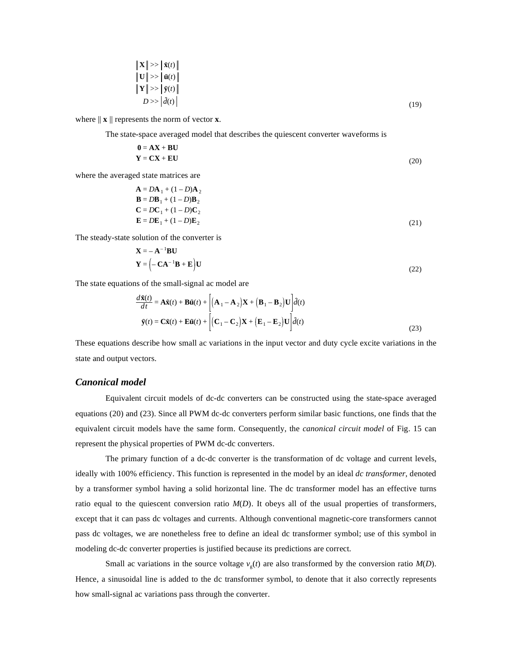$$
\begin{aligned}\n\|\mathbf{X}\| >> \|\hat{\mathbf{x}}(t)\| \\
\|\mathbf{U}\| >> \|\hat{\mathbf{u}}(t)\| \\
\|\mathbf{Y}\| >> \|\hat{\mathbf{y}}(t)\| \\
D >> |\hat{d}(t)\n\end{aligned} \tag{19}
$$

where  $\|\mathbf{x}\|$  represents the norm of vector **x**.

The state-space averaged model that describes the quiescent converter waveforms is

$$
0 = AX + BU
$$
  
Y = CX + EU (20)

where the averaged state matrices are

$$
\mathbf{A} = D\mathbf{A}_1 + (1 - D)\mathbf{A}_2
$$
  
\n
$$
\mathbf{B} = D\mathbf{B}_1 + (1 - D)\mathbf{B}_2
$$
  
\n
$$
\mathbf{C} = D\mathbf{C}_1 + (1 - D)\mathbf{C}_2
$$
  
\n
$$
\mathbf{E} = D\mathbf{E}_1 + (1 - D)\mathbf{E}_2
$$
\n(21)

The steady-state solution of the converter is

$$
\mathbf{X} = -\mathbf{A}^{-1} \mathbf{B} \mathbf{U}
$$
  

$$
\mathbf{Y} = \left( -\mathbf{C} \mathbf{A}^{-1} \mathbf{B} + \mathbf{E} \right) \mathbf{U}
$$
 (22)

The state equations of the small-signal ac model are

$$
\frac{d\hat{\mathbf{x}}(t)}{dt} = \mathbf{A}\hat{\mathbf{x}}(t) + \mathbf{B}\hat{\mathbf{u}}(t) + \left[ (\mathbf{A}_1 - \mathbf{A}_2)\mathbf{X} + (\mathbf{B}_1 - \mathbf{B}_2)\mathbf{U} \right] \hat{d}(t)
$$
  

$$
\hat{\mathbf{y}}(t) = \mathbf{C}\hat{\mathbf{x}}(t) + \mathbf{E}\hat{\mathbf{u}}(t) + \left[ (\mathbf{C}_1 - \mathbf{C}_2)\mathbf{X} + (\mathbf{E}_1 - \mathbf{E}_2)\mathbf{U} \right] \hat{d}(t)
$$
 (23)

These equations describe how small ac variations in the input vector and duty cycle excite variations in the state and output vectors.

## *Canonical model*

Equivalent circuit models of dc-dc converters can be constructed using the state-space averaged equations (20) and (23). Since all PWM dc-dc converters perform similar basic functions, one finds that the equivalent circuit models have the same form. Consequently, the *canonical circuit model* of Fig. 15 can represent the physical properties of PWM dc-dc converters.

The primary function of a dc-dc converter is the transformation of dc voltage and current levels, ideally with 100% efficiency. This function is represented in the model by an ideal *dc transformer*, denoted by a transformer symbol having a solid horizontal line. The dc transformer model has an effective turns ratio equal to the quiescent conversion ratio  $M(D)$ . It obeys all of the usual properties of transformers, except that it can pass dc voltages and currents. Although conventional magnetic-core transformers cannot pass dc voltages, we are nonetheless free to define an ideal dc transformer symbol; use of this symbol in modeling dc-dc converter properties is justified because its predictions are correct.

Small ac variations in the source voltage  $v_g(t)$  are also transformed by the conversion ratio  $M(D)$ . Hence, a sinusoidal line is added to the dc transformer symbol, to denote that it also correctly represents how small-signal ac variations pass through the converter.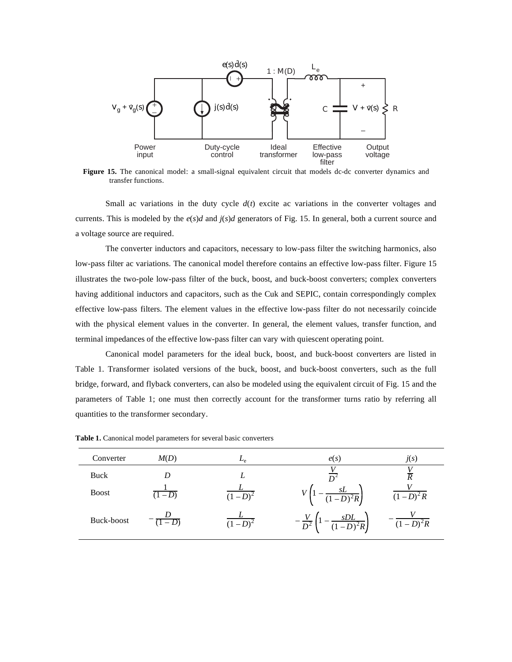

**Figure 15.** The canonical model: a small-signal equivalent circuit that models dc-dc converter dynamics and transfer functions.

Small ac variations in the duty cycle  $d(t)$  excite ac variations in the converter voltages and currents. This is modeled by the  $e(s)d$  and  $j(s)d$  generators of Fig. 15. In general, both a current source and a voltage source are required.

The converter inductors and capacitors, necessary to low-pass filter the switching harmonics, also low-pass filter ac variations. The canonical model therefore contains an effective low-pass filter. Figure 15 illustrates the two-pole low-pass filter of the buck, boost, and buck-boost converters; complex converters having additional inductors and capacitors, such as the Cuk and SEPIC, contain correspondingly complex effective low-pass filters. The element values in the effective low-pass filter do not necessarily coincide with the physical element values in the converter. In general, the element values, transfer function, and terminal impedances of the effective low-pass filter can vary with quiescent operating point.

Canonical model parameters for the ideal buck, boost, and buck-boost converters are listed in Table 1. Transformer isolated versions of the buck, boost, and buck-boost converters, such as the full bridge, forward, and flyback converters, can also be modeled using the equivalent circuit of Fig. 15 and the parameters of Table 1; one must then correctly account for the transformer turns ratio by referring all quantities to the transformer secondary.

| Converter    | M(D)    | $L_{e}$   | e(s)                                       | j(s)                 |
|--------------|---------|-----------|--------------------------------------------|----------------------|
| <b>Buck</b>  | D       |           |                                            |                      |
| <b>Boost</b> | $-D$    | $(1-D)^2$ | $\overline{(1-D)^2R}$                      | $(1-D)^2 R$          |
| Buck-boost   | $(1-D)$ | $(1-D)^2$ | $\frac{SDL}{(1-D)^2R}$<br>$\overline{D^2}$ | $\frac{1}{(1-D)^2R}$ |

**Table 1.** Canonical model parameters for several basic converters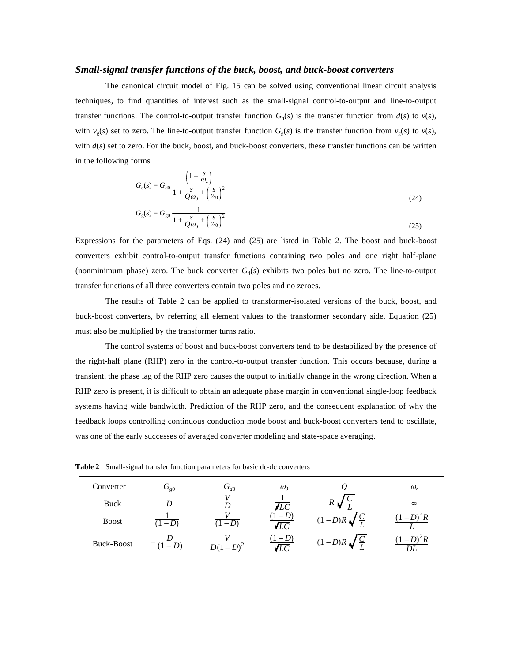#### *Small-signal transfer functions of the buck, boost, and buck-boost converters*

The canonical circuit model of Fig. 15 can be solved using conventional linear circuit analysis techniques, to find quantities of interest such as the small-signal control-to-output and line-to-output transfer functions. The control-to-output transfer function  $G_d(s)$  is the transfer function from  $d(s)$  to  $v(s)$ , with  $v_g(s)$  set to zero. The line-to-output transfer function  $G_g(s)$  is the transfer function from  $v_g(s)$  to  $v(s)$ , with  $d(s)$  set to zero. For the buck, boost, and buck-boost converters, these transfer functions can be written in the following forms

$$
G_{\rm d}(s) = G_{\rm d0} \frac{\left(1 - \frac{s}{\omega_z}\right)}{1 + \frac{s}{Q\omega_0} + \left(\frac{s}{\omega_0}\right)^2}
$$
\n
$$
G_{\rm g}(s) = G_{\rm g0} \frac{1}{1 + \frac{s}{Q\omega_0} + \left(\frac{s}{\omega_0}\right)^2}
$$
\n(24)

Expressions for the parameters of Eqs. (24) and (25) are listed in Table 2. The boost and buck-boost converters exhibit control-to-output transfer functions containing two poles and one right half-plane (nonminimum phase) zero. The buck converter  $G_d(s)$  exhibits two poles but no zero. The line-to-output transfer functions of all three converters contain two poles and no zeroes.

The results of Table 2 can be applied to transformer-isolated versions of the buck, boost, and buck-boost converters, by referring all element values to the transformer secondary side. Equation (25) must also be multiplied by the transformer turns ratio.

The control systems of boost and buck-boost converters tend to be destabilized by the presence of the right-half plane (RHP) zero in the control-to-output transfer function. This occurs because, during a transient, the phase lag of the RHP zero causes the output to initially change in the wrong direction. When a RHP zero is present, it is difficult to obtain an adequate phase margin in conventional single-loop feedback systems having wide bandwidth. Prediction of the RHP zero, and the consequent explanation of why the feedback loops controlling continuous conduction mode boost and buck-boost converters tend to oscillate, was one of the early successes of averaged converter modeling and state-space averaging.

| Converter         | $G_{g0}$ | $G_{d0}$   | $\omega_0$          |                            | $\omega_{z}$ |
|-------------------|----------|------------|---------------------|----------------------------|--------------|
| Buck              | D        |            | ÆС                  |                            | $\infty$     |
| <b>Boost</b>      | $(1-D)$  | $-D$       | $-D$<br>$\sqrt{LC}$ | $(1-D)R\sqrt{\frac{C}{L}}$ |              |
| <b>Buck-Boost</b> | $(1-D)$  | $D(1-D)^2$ | $-D$<br>ÆС          | $(1-D)R\sqrt{\frac{C}{L}}$ |              |

**Table 2** Small-signal transfer function parameters for basic dc-dc converters